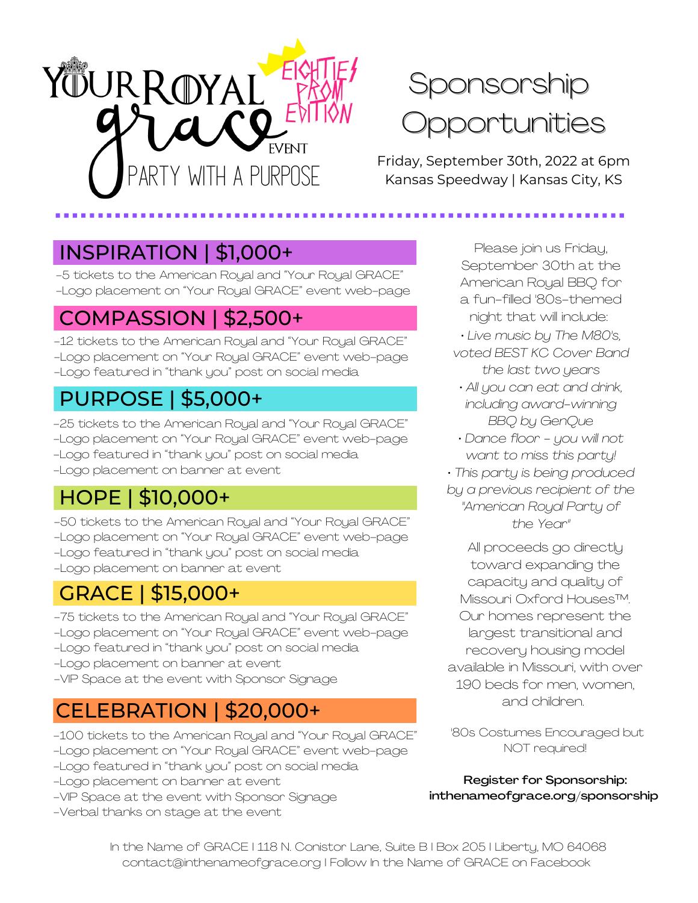

# Sponsorship Opportunities

Friday, September 30th, 2022 at 6pm Kansas Speedway | Kansas City, KS

## INSPIRATION | \$1,000+

-5 tickets to the American Royal and "Your Royal GRACE" -Logo placement on "Your Royal GRACE" event web-page

## COMPASSION | \$2,500+

-12 tickets to the American Royal and "Your Royal GRACE" -Logo placement on "Your Royal GRACE" event web-page -Logo featured in "thank you" post on social media

## PURPOSE | \$5,000+

-25 tickets to the American Royal and "Your Royal GRACE" -Logo placement on "Your Royal GRACE" event web-page -Logo featured in "thank you" post on social media -Logo placement on banner at event

# HOPE | \$10,000+

-50 tickets to the American Royal and "Your Royal GRACE" -Logo placement on "Your Royal GRACE" event web-page -Logo featured in "thank you" post on social media -Logo placement on banner at event

## GRACE | \$15,000+

- -75 tickets to the American Royal and "Your Royal GRACE" -Logo placement on "Your Royal GRACE" event web-page
- -Logo featured in "thank you" post on social media
- -Logo placement on banner at event
- -VIP Space at the event with Sponsor Signage

## CELEBRATION | \$20,000+

- -100 tickets to the American Royal and "Your Royal GRACE" -Logo placement on "Your Royal GRACE" event web-page
- -Logo featured in "thank you" post on social media
- -Logo placement on banner at event
- -VIP Space at the event with Sponsor Signage
- -Verbal thanks on stage at the event

Please join us Friday, September 30th at the American Royal BBQ for a fun-filled '80s-themed night that will include:

- *• Live music by The M80's, voted BEST KC Cover Band*
	- *the last two years • All you can eat and drink, including award-winning*
		- *BBQ by GenQue*
- *• Dance floor - you will not want to miss this party! • This party is being produced by a previous recipient of the "American Royal Party of the Year"*

All proceeds go directly toward expanding the capacity and quality of Missouri Oxford Houses™. Our homes represent the largest transitional and recovery housing model available in Missouri, with over 190 beds for men, women, and children.

'80s Costumes Encouraged but NOT required!

Register for Sponsorship: inthenameofgrace.org/sponsorship

In the Name of GRACE I 118 N. Conistor Lane, Suite B I Box 205 I Liberty, MO 64068 contact@inthenameofgrace.org I Follow In the Name of GRACE on Facebook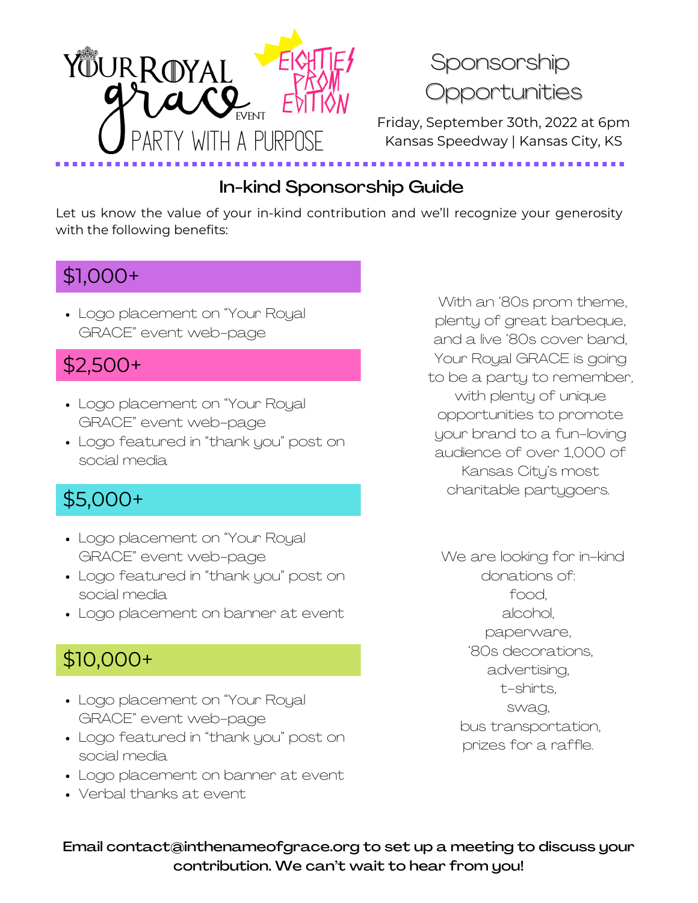

### In-kind Sponsorship Guide

Let us know the value of your in-kind contribution and we'll recognize your generosity with the following benefits:

## \$1,000+

Logo placement on "Your Royal GRACE" event web-page

## \$2,500+

- Logo placement on "Your Royal GRACE" event web-page
- Logo featured in "thank you" post on social media

## \$5,000+

- Logo placement on "Your Royal GRACE" event web-page
- Logo featured in "thank you" post on social media
- Logo placement on banner at event

## \$10,000+

- Logo placement on "Your Royal GRACE" event web-page
- Logo featured in "thank you" post on social media
- Logo placement on banner at event
- Verbal thanks at event

With an '80s prom theme, plenty of great barbeque, and a live '80s cover band, Your Royal GRACE is going to be a party to remember, with plenty of unique opportunities to promote your brand to a fun-loving audience of over 1,000 of Kansas City's most charitable partygoers.

We are looking for in-kind donations of: food, alcohol, paperware, '80s decorations, advertising, t-shirts, swag, bus transportation, prizes for a raffle.

Email contact@inthenameofgrace.org to set up a meeting to discuss your contribution. We can't wait to hear from you!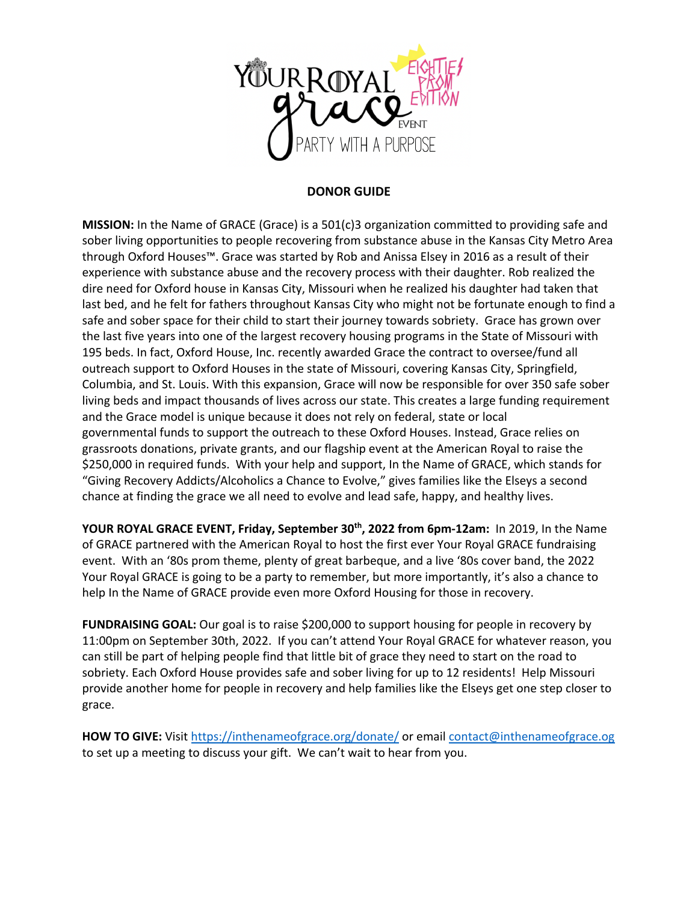

#### **DONOR GUIDE**

**MISSION:** In the Name of GRACE (Grace) is a 501(c)3 organization committed to providing safe and sober living opportunities to people recovering from substance abuse in the Kansas City Metro Area through Oxford Houses™. Grace was started by Rob and Anissa Elsey in 2016 as a result of their experience with substance abuse and the recovery process with their daughter. Rob realized the dire need for Oxford house in Kansas City, Missouri when he realized his daughter had taken that last bed, and he felt for fathers throughout Kansas City who might not be fortunate enough to find a safe and sober space for their child to start their journey towards sobriety. Grace has grown over the last five years into one of the largest recovery housing programs in the State of Missouri with 195 beds. In fact, Oxford House, Inc. recently awarded Grace the contract to oversee/fund all outreach support to Oxford Houses in the state of Missouri, covering Kansas City, Springfield, Columbia, and St. Louis. With this expansion, Grace will now be responsible for over 350 safe sober living beds and impact thousands of lives across our state. This creates a large funding requirement and the Grace model is unique because it does not rely on federal, state or local governmental funds to support the outreach to these Oxford Houses. Instead, Grace relies on grassroots donations, private grants, and our flagship event at the American Royal to raise the \$250,000 in required funds. With your help and support, In the Name of GRACE, which stands for "Giving Recovery Addicts/Alcoholics a Chance to Evolve," gives families like the Elseys a second chance at finding the grace we all need to evolve and lead safe, happy, and healthy lives.

YOUR ROYAL GRACE EVENT, Friday, September 30<sup>th</sup>, 2022 from 6pm-12am: In 2019, In the Name of GRACE partnered with the American Royal to host the first ever Your Royal GRACE fundraising event. With an '80s prom theme, plenty of great barbeque, and a live '80s cover band, the 2022 Your Royal GRACE is going to be a party to remember, but more importantly, it's also a chance to help In the Name of GRACE provide even more Oxford Housing for those in recovery.

**FUNDRAISING GOAL:** Our goal is to raise \$200,000 to support housing for people in recovery by 11:00pm on September 30th, 2022. If you can't attend Your Royal GRACE for whatever reason, you can still be part of helping people find that little bit of grace they need to start on the road to sobriety. Each Oxford House provides safe and sober living for up to 12 residents! Help Missouri provide another home for people in recovery and help families like the Elseys get one step closer to grace.

**HOW TO GIVE:** Visit https://inthenameofgrace.org/donate/ or email contact@inthenameofgrace.og to set up a meeting to discuss your gift. We can't wait to hear from you.